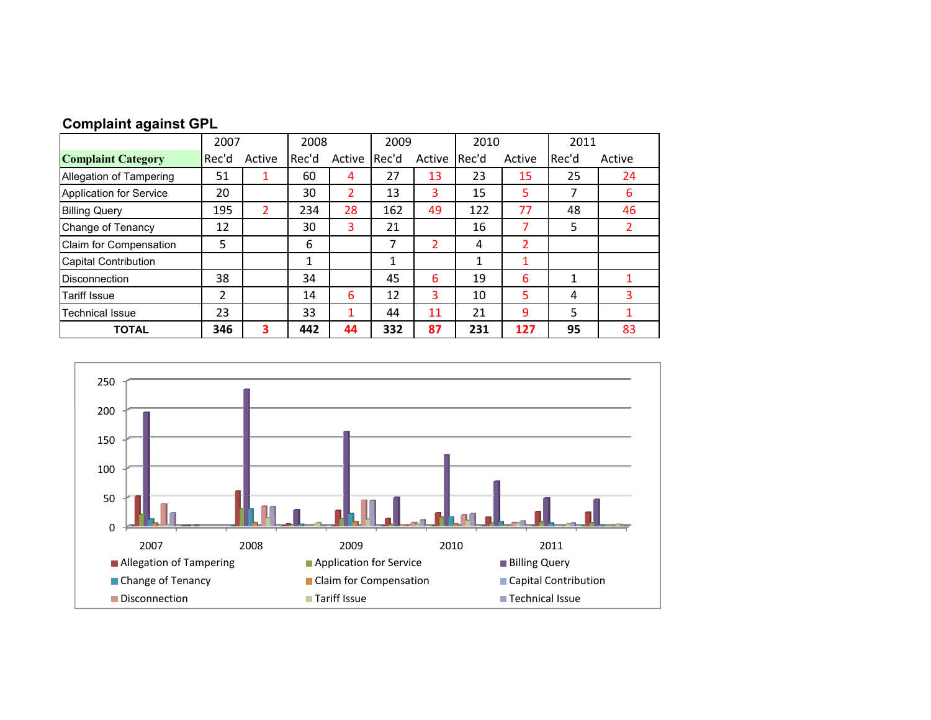|  |  | <b>Complaint against GPL</b> |  |
|--|--|------------------------------|--|
|--|--|------------------------------|--|

|                                | 2007  |        | 2008  |        |       | 2009   |         | 2010   |         |        |
|--------------------------------|-------|--------|-------|--------|-------|--------|---------|--------|---------|--------|
| <b>Complaint Category</b>      | Rec'd | Active | Rec'd | Active | Rec'd | Active | l Rec'd | Active | l Rec'd | Active |
| Allegation of Tampering        | 51    |        | 60    | 4      | 27    | 13     | 23      | 15     | 25      | 24     |
| <b>Application for Service</b> | 20    |        | 30    | 2      | 13    | 3      | 15      | 5      | 7       | 6      |
| <b>Billing Query</b>           | 195   |        | 234   | 28     | 162   | 49     | 122     | 77     | 48      | 46     |
| Change of Tenancy              | 12    |        | 30    | 3      | 21    |        | 16      |        | 5       |        |
| Claim for Compensation         | 5     |        | 6     |        | 7     | 2      | 4       | 2      |         |        |
| <b>Capital Contribution</b>    |       |        | 1     |        |       |        |         |        |         |        |
| <b>Disconnection</b>           | 38    |        | 34    |        | 45    | 6      | 19      | 6      | 1       |        |
| <b>Tariff Issue</b>            | 2     |        | 14    | 6      | 12    | 3      | 10      | 5      | 4       | 3      |
| <b>Technical Issue</b>         | 23    |        | 33    | ◢      | 44    | 11     | 21      | 9      | 5       |        |
| <b>TOTAL</b>                   | 346   | 3      | 442   | 44     | 332   | 87     | 231     | 127    | 95      | 83     |

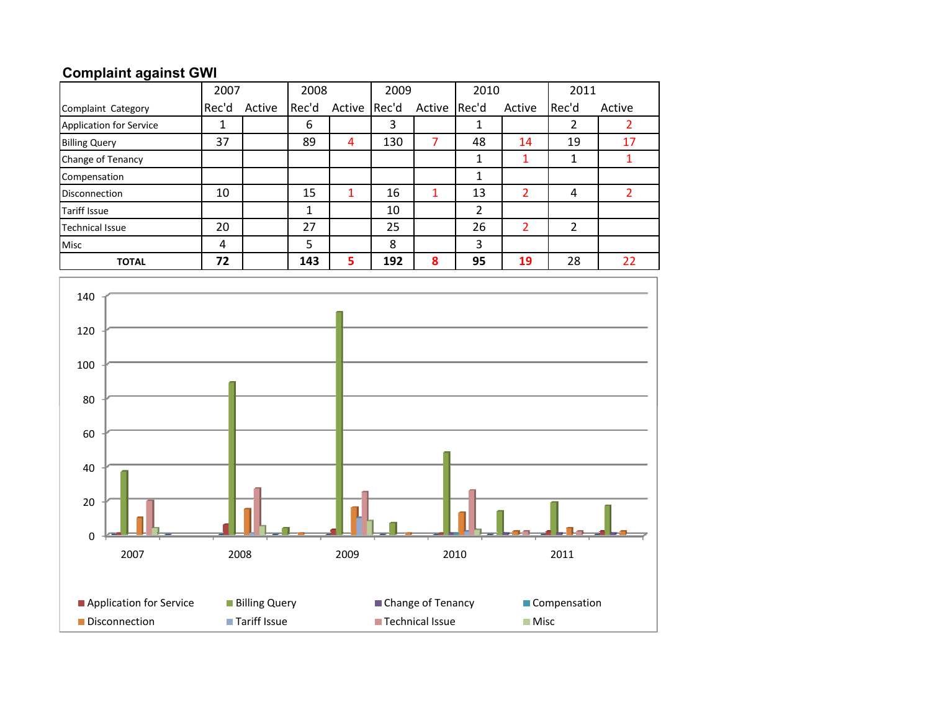## **Complaint against GWI**

|                         | 2007  |        |       | 2008   |       | 2009   |       | 2010   |       | 2011   |
|-------------------------|-------|--------|-------|--------|-------|--------|-------|--------|-------|--------|
| Complaint Category      | Rec'd | Active | Rec'd | Active | Rec'd | Active | Rec'd | Active | Rec'd | Active |
| Application for Service |       |        | 6     |        | 3     |        |       |        | ำ     |        |
| <b>Billing Query</b>    | 37    |        | 89    | 4      | 130   |        | 48    | 14     | 19    | 17     |
| Change of Tenancy       |       |        |       |        |       |        | Ŧ.    |        | 1     |        |
| Compensation            |       |        |       |        |       |        | 1     |        |       |        |
| <b>Disconnection</b>    | 10    |        | 15    | 1      | 16    |        | 13    | 2      | 4     |        |
| <b>Tariff Issue</b>     |       |        | 1     |        | 10    |        | 2     |        |       |        |
| <b>Technical Issue</b>  | 20    |        | 27    |        | 25    |        | 26    | 2      | 2     |        |
| <b>Misc</b>             | 4     |        | 5     |        | 8     |        | 3     |        |       |        |
| <b>TOTAL</b>            | 72    |        | 143   | 5      | 192   | 8      | 95    | 19     | 28    | 22     |

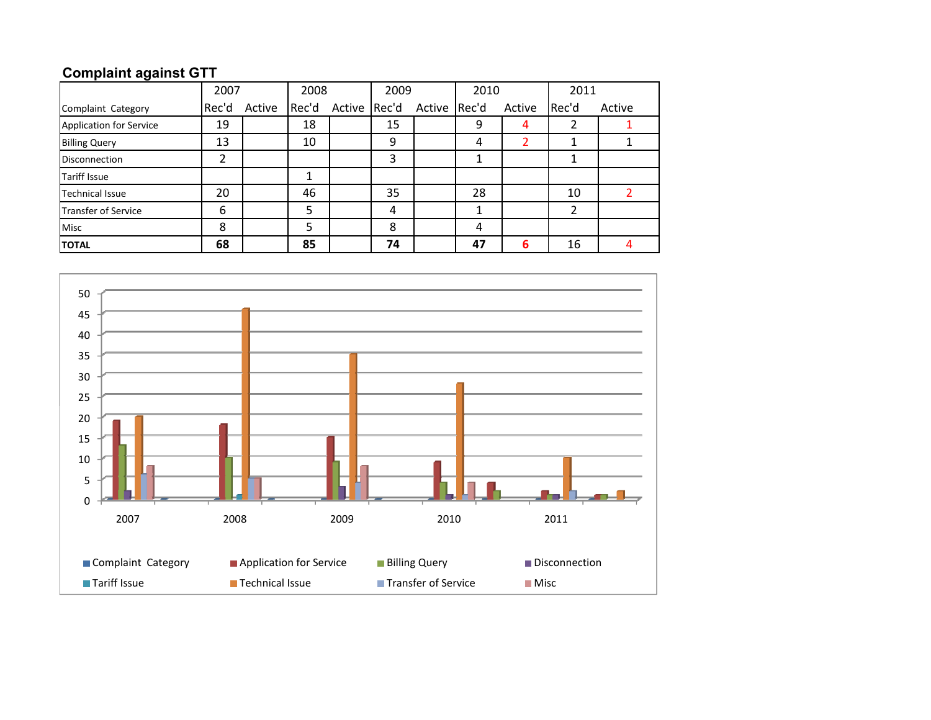## **Complaint against GTT**

|                         | 2007  |        | 2008  |              | 2009 |              | 2010 |        | 2011  |        |
|-------------------------|-------|--------|-------|--------------|------|--------------|------|--------|-------|--------|
| Complaint Category      | Rec'd | Active | Rec'd | Active Rec'd |      | Active Rec'd |      | Active | Rec'd | Active |
| Application for Service | 19    |        | 18    |              | 15   |              | 9    | 4      |       |        |
| <b>Billing Query</b>    | 13    |        | 10    |              | 9    |              | 4    |        |       |        |
| <b>Disconnection</b>    | າ     |        |       |              | 3    |              |      |        |       |        |
| <b>Tariff Issue</b>     |       |        |       |              |      |              |      |        |       |        |
| <b>Technical Issue</b>  | 20    |        | 46    |              | 35   |              | 28   |        | 10    |        |
| Transfer of Service     | 6     |        | 5     |              | 4    |              |      |        |       |        |
| <b>Misc</b>             | 8     |        | 5     |              | 8    |              | 4    |        |       |        |
| <b>TOTAL</b>            | 68    |        | 85    |              | 74   |              | 47   | 6      | 16    |        |